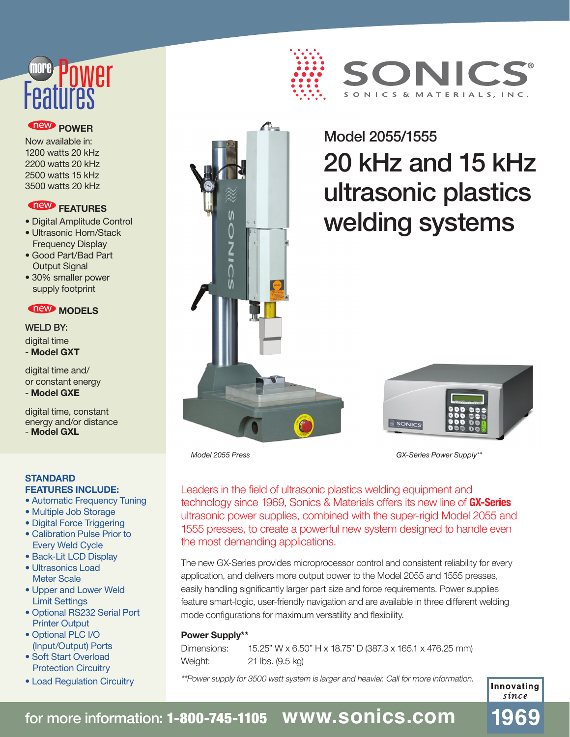# **Features** more

#### *<u>new</u>* **POWER**

Now available in: 1200 watts 20 kHz 2200 watts 20 kHz 2500 watts 15 kHz 3500 watts 20 kHz

### **THE FEATURES**

- Digital Amplitude Control
- Ultrasonic Horn/Stack Frequency Display
- Good Part/Bad Part Output Signal
- 30% smaller power supply footprint

### *MODELS*

WELD BY: digital time - **Model GXT** 

digital time and/ or constant energy - **Model GXE**

digital time, constant energy and/or distance - **Model GXL**

### **STANDARD**

- **FEATURES INCLUDE:**
- Automatic Frequency Tuning
- Multiple Job Storage
- Digital Force Triggering
- Calibration Pulse Prior to Every Weld Cycle
- Back-Lit LCD Display
- Ultrasonics Load Meter Scale
- Upper and Lower Weld Limit Settings
- Optional RS232 Serial Port Printer Output
- Optional PLC I/O (Input/Output) Ports
- Soft Start Overload Protection Circuitry
- Load Regulation Circuitry



## ONK SONICS & MATERIALS, INC.

# Model 2055/1555 20 kHz and 15 kHz ultrasonic plastics welding systems



*GX-Series Power Supply\*\**

Leaders in the field of ultrasonic plastics welding equipment and technology since 1969, Sonics & Materials offers its new line of **GX-Series** ultrasonic power supplies, combined with the super-rigid Model 2055 and 1555 presses, to create a powerful new system designed to handle even the most demanding applications.

The new GX-Series provides microprocessor control and consistent reliability for every application, and delivers more output power to the Model 2055 and 1555 presses, easily handling significantly larger part size and force requirements. Power supplies feature smart-logic, user-friendly navigation and are available in three different welding mode configurations for maximum versatility and flexibility.

#### **Power Supply\*\***

*Model 2055 Press*

Dimensions: 15.25" W x 6.50" H x 18.75" D (387.3 x 165.1 x 476.25 mm) Weight: 21 lbs. (9.5 kg)

\*\*Power supply for 3500 watt system is larger and heavier. Call for more information.

Innovating sínce

69

### for more information: 1-800-745-1105 **www.sonics.com**